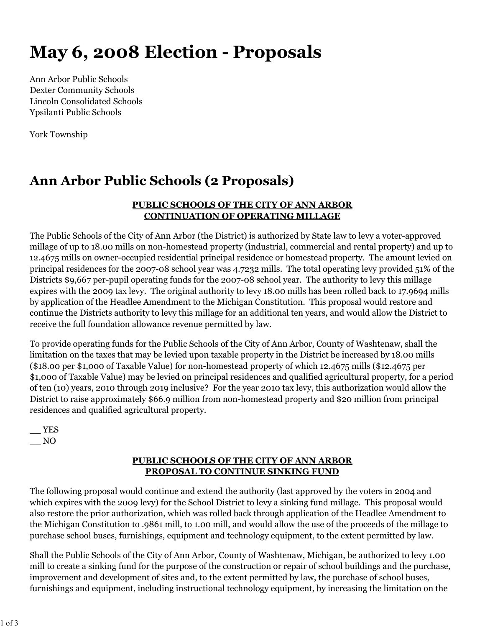# **May 6, 2008 Election - Proposals**

Ann Arbor Public Schools Dexter Community Schools Lincoln Consolidated Schools Ypsilanti Public Schools

York Township

# **Ann Arbor Public Schools (2 Proposals)**

#### **PUBLIC SCHOOLS OF THE CITY OF ANN ARBOR CONTINUATION OF OPERATING MILLAGE**

The Public Schools of the City of Ann Arbor (the District) is authorized by State law to levy a voter-approved millage of up to 18.00 mills on non-homestead property (industrial, commercial and rental property) and up to 12.4675 mills on owner-occupied residential principal residence or homestead property. The amount levied on principal residences for the 2007-08 school year was 4.7232 mills. The total operating levy provided 51% of the Districts \$9,667 per-pupil operating funds for the 2007-08 school year. The authority to levy this millage expires with the 2009 tax levy. The original authority to levy 18.00 mills has been rolled back to 17.9694 mills by application of the Headlee Amendment to the Michigan Constitution. This proposal would restore and continue the Districts authority to levy this millage for an additional ten years, and would allow the District to receive the full foundation allowance revenue permitted by law.

To provide operating funds for the Public Schools of the City of Ann Arbor, County of Washtenaw, shall the limitation on the taxes that may be levied upon taxable property in the District be increased by 18.00 mills (\$18.00 per \$1,000 of Taxable Value) for non-homestead property of which 12.4675 mills (\$12.4675 per \$1,000 of Taxable Value) may be levied on principal residences and qualified agricultural property, for a period of ten (10) years, 2010 through 2019 inclusive? For the year 2010 tax levy, this authorization would allow the District to raise approximately \$66.9 million from non-homestead property and \$20 million from principal residences and qualified agricultural property.

 $-$  YES  $\sqrt{N}$ 

#### **PUBLIC SCHOOLS OF THE CITY OF ANN ARBOR PROPOSAL TO CONTINUE SINKING FUND**

The following proposal would continue and extend the authority (last approved by the voters in 2004 and which expires with the 2009 levy) for the School District to levy a sinking fund millage. This proposal would also restore the prior authorization, which was rolled back through application of the Headlee Amendment to the Michigan Constitution to .9861 mill, to 1.00 mill, and would allow the use of the proceeds of the millage to purchase school buses, furnishings, equipment and technology equipment, to the extent permitted by law.

Shall the Public Schools of the City of Ann Arbor, County of Washtenaw, Michigan, be authorized to levy 1.00 mill to create a sinking fund for the purpose of the construction or repair of school buildings and the purchase, improvement and development of sites and, to the extent permitted by law, the purchase of school buses, furnishings and equipment, including instructional technology equipment, by increasing the limitation on the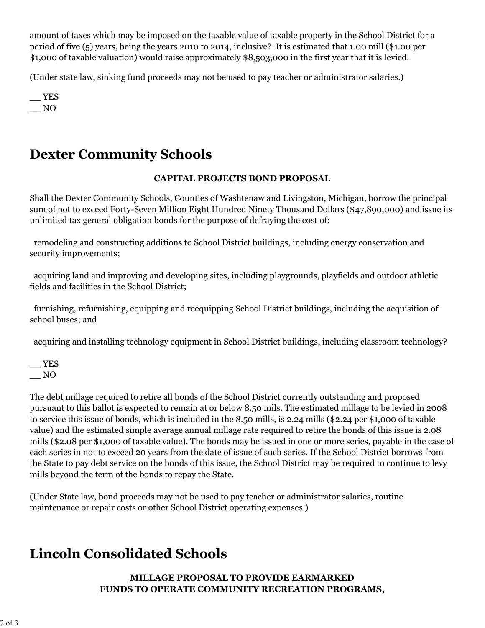amount of taxes which may be imposed on the taxable value of taxable property in the School District for a period of five (5) years, being the years 2010 to 2014, inclusive? It is estimated that 1.00 mill (\$1.00 per \$1,000 of taxable valuation) would raise approximately \$8,503,000 in the first year that it is levied.

(Under state law, sinking fund proceeds may not be used to pay teacher or administrator salaries.)

\_\_ YES  $\overline{\phantom{0}}$  NO

# **Dexter Community Schools**

#### **CAPITAL PROJECTS BOND PROPOSAL**

Shall the Dexter Community Schools, Counties of Washtenaw and Livingston, Michigan, borrow the principal sum of not to exceed Forty-Seven Million Eight Hundred Ninety Thousand Dollars (\$47,890,000) and issue its unlimited tax general obligation bonds for the purpose of defraying the cost of:

 remodeling and constructing additions to School District buildings, including energy conservation and security improvements;

 acquiring land and improving and developing sites, including playgrounds, playfields and outdoor athletic fields and facilities in the School District;

 furnishing, refurnishing, equipping and reequipping School District buildings, including the acquisition of school buses; and

acquiring and installing technology equipment in School District buildings, including classroom technology?

 $-$  YES  $\_\_$  NO

The debt millage required to retire all bonds of the School District currently outstanding and proposed pursuant to this ballot is expected to remain at or below 8.50 mils. The estimated millage to be levied in 2008 to service this issue of bonds, which is included in the 8.50 mills, is 2.24 mills (\$2.24 per \$1,000 of taxable value) and the estimated simple average annual millage rate required to retire the bonds of this issue is 2.08 mills (\$2.08 per \$1,000 of taxable value). The bonds may be issued in one or more series, payable in the case of each series in not to exceed 20 years from the date of issue of such series. If the School District borrows from the State to pay debt service on the bonds of this issue, the School District may be required to continue to levy mills beyond the term of the bonds to repay the State.

(Under State law, bond proceeds may not be used to pay teacher or administrator salaries, routine maintenance or repair costs or other School District operating expenses.)

## **Lincoln Consolidated Schools**

#### **MILLAGE PROPOSAL TO PROVIDE EARMARKED FUNDS TO OPERATE COMMUNITY RECREATION PROGRAMS,**